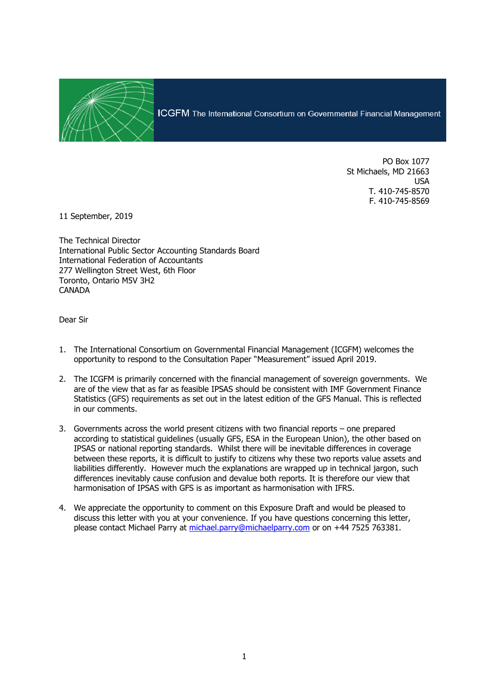

PO Box 1077 St Michaels, MD 21663 USA T. 410-745-8570 F. 410-745-8569

11 September, 2019

The Technical Director International Public Sector Accounting Standards Board International Federation of Accountants 277 Wellington Street West, 6th Floor Toronto, Ontario M5V 3H2 CANADA

Dear Sir

- 1. The International Consortium on Governmental Financial Management (ICGFM) welcomes the opportunity to respond to the Consultation Paper "Measurement" issued April 2019.
- 2. The ICGFM is primarily concerned with the financial management of sovereign governments. We are of the view that as far as feasible IPSAS should be consistent with IMF Government Finance Statistics (GFS) requirements as set out in the latest edition of the GFS Manual. This is reflected in our comments.
- 3. Governments across the world present citizens with two financial reports one prepared according to statistical guidelines (usually GFS, ESA in the European Union), the other based on IPSAS or national reporting standards. Whilst there will be inevitable differences in coverage between these reports, it is difficult to justify to citizens why these two reports value assets and liabilities differently. However much the explanations are wrapped up in technical jargon, such differences inevitably cause confusion and devalue both reports. It is therefore our view that harmonisation of IPSAS with GFS is as important as harmonisation with IFRS.
- 4. We appreciate the opportunity to comment on this Exposure Draft and would be pleased to discuss this letter with you at your convenience. If you have questions concerning this letter, please contact Michael Parry at [michael.parry@michaelparry.com](mailto:Michael.parry@michaelparry.com) or on +44 7525 763381.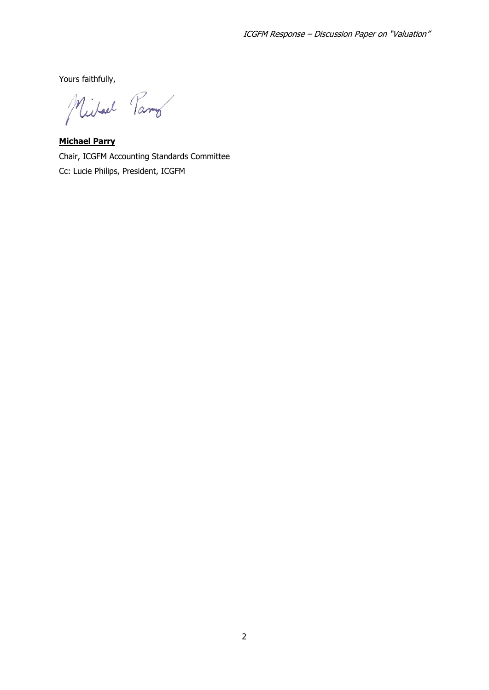Yours faithfully,

Michael Parmo

**Michael Parry**  Chair, ICGFM Accounting Standards Committee Cc: Lucie Philips, President, ICGFM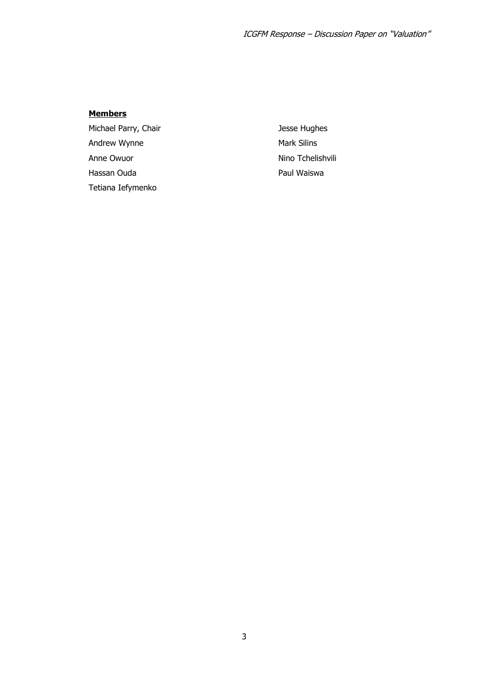## **Members**

Michael Parry, Chair Andrew Wynne Anne Owuor Hassan Ouda Tetiana Iefymenko

Jesse Hughes Mark Silins Nino Tchelishvili Paul Waiswa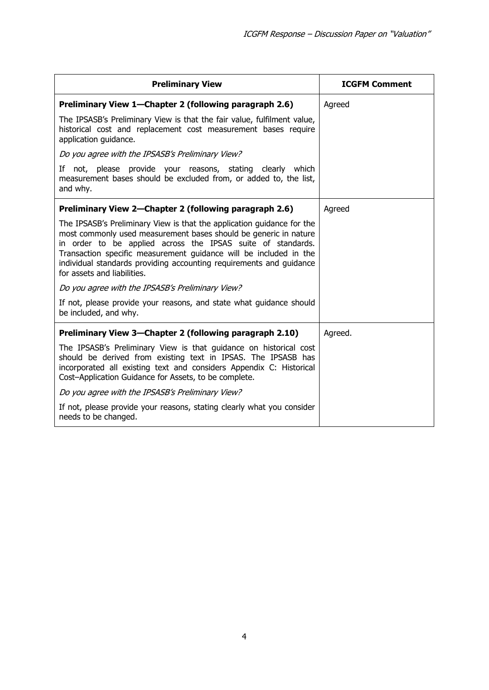| <b>Preliminary View</b>                                                                                                                                                                                                                                                                                                                                                              | <b>ICGFM Comment</b> |
|--------------------------------------------------------------------------------------------------------------------------------------------------------------------------------------------------------------------------------------------------------------------------------------------------------------------------------------------------------------------------------------|----------------------|
| Preliminary View 1—Chapter 2 (following paragraph 2.6)                                                                                                                                                                                                                                                                                                                               | Agreed               |
| The IPSASB's Preliminary View is that the fair value, fulfilment value,<br>historical cost and replacement cost measurement bases require<br>application guidance.                                                                                                                                                                                                                   |                      |
| Do you agree with the IPSASB's Preliminary View?                                                                                                                                                                                                                                                                                                                                     |                      |
| If not, please provide your reasons, stating clearly which<br>measurement bases should be excluded from, or added to, the list,<br>and why.                                                                                                                                                                                                                                          |                      |
| Preliminary View 2-Chapter 2 (following paragraph 2.6)                                                                                                                                                                                                                                                                                                                               | Agreed               |
| The IPSASB's Preliminary View is that the application guidance for the<br>most commonly used measurement bases should be generic in nature<br>in order to be applied across the IPSAS suite of standards.<br>Transaction specific measurement guidance will be included in the<br>individual standards providing accounting requirements and guidance<br>for assets and liabilities. |                      |
| Do you agree with the IPSASB's Preliminary View?                                                                                                                                                                                                                                                                                                                                     |                      |
| If not, please provide your reasons, and state what guidance should<br>be included, and why.                                                                                                                                                                                                                                                                                         |                      |
| Preliminary View 3-Chapter 2 (following paragraph 2.10)                                                                                                                                                                                                                                                                                                                              | Agreed.              |
| The IPSASB's Preliminary View is that guidance on historical cost<br>should be derived from existing text in IPSAS. The IPSASB has<br>incorporated all existing text and considers Appendix C: Historical<br>Cost-Application Guidance for Assets, to be complete.                                                                                                                   |                      |
| Do you agree with the IPSASB's Preliminary View?                                                                                                                                                                                                                                                                                                                                     |                      |
| If not, please provide your reasons, stating clearly what you consider<br>needs to be changed.                                                                                                                                                                                                                                                                                       |                      |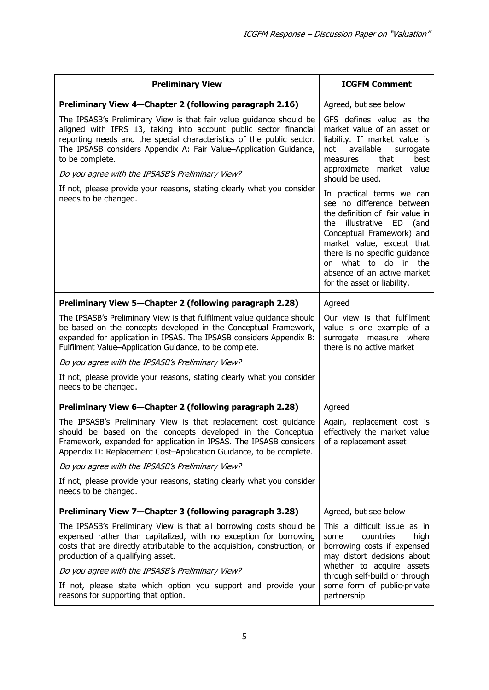| <b>Preliminary View</b>                                                                                                                                                                                                                                                                                                                                                                                                                                         | <b>ICGFM Comment</b>                                                                                                                                                                                                                                                                                            |
|-----------------------------------------------------------------------------------------------------------------------------------------------------------------------------------------------------------------------------------------------------------------------------------------------------------------------------------------------------------------------------------------------------------------------------------------------------------------|-----------------------------------------------------------------------------------------------------------------------------------------------------------------------------------------------------------------------------------------------------------------------------------------------------------------|
| Preliminary View 4–Chapter 2 (following paragraph 2.16)                                                                                                                                                                                                                                                                                                                                                                                                         | Agreed, but see below                                                                                                                                                                                                                                                                                           |
| The IPSASB's Preliminary View is that fair value guidance should be<br>aligned with IFRS 13, taking into account public sector financial<br>reporting needs and the special characteristics of the public sector.<br>The IPSASB considers Appendix A: Fair Value-Application Guidance,<br>to be complete.<br>Do you agree with the IPSASB's Preliminary View?<br>If not, please provide your reasons, stating clearly what you consider<br>needs to be changed. | GFS defines value as the<br>market value of an asset or<br>liability. If market value is<br>available<br>surrogate<br>not<br>that<br>best<br>measures<br>approximate market value<br>should be used.                                                                                                            |
|                                                                                                                                                                                                                                                                                                                                                                                                                                                                 | In practical terms we can<br>see no difference between<br>the definition of fair value in<br>illustrative<br>ED<br>the<br>(and<br>Conceptual Framework) and<br>market value, except that<br>there is no specific guidance<br>on what to do in the<br>absence of an active market<br>for the asset or liability. |
| Preliminary View 5-Chapter 2 (following paragraph 2.28)                                                                                                                                                                                                                                                                                                                                                                                                         | Agreed                                                                                                                                                                                                                                                                                                          |
| The IPSASB's Preliminary View is that fulfilment value guidance should<br>be based on the concepts developed in the Conceptual Framework,<br>expanded for application in IPSAS. The IPSASB considers Appendix B:<br>Fulfilment Value-Application Guidance, to be complete.                                                                                                                                                                                      | Our view is that fulfilment<br>value is one example of a<br>surrogate measure where<br>there is no active market                                                                                                                                                                                                |
| Do you agree with the IPSASB's Preliminary View?                                                                                                                                                                                                                                                                                                                                                                                                                |                                                                                                                                                                                                                                                                                                                 |
| If not, please provide your reasons, stating clearly what you consider<br>needs to be changed.                                                                                                                                                                                                                                                                                                                                                                  |                                                                                                                                                                                                                                                                                                                 |
| Preliminary View 6-Chapter 2 (following paragraph 2.28)                                                                                                                                                                                                                                                                                                                                                                                                         | Agreed                                                                                                                                                                                                                                                                                                          |
| The IPSASB's Preliminary View is that replacement cost guidance<br>should be based on the concepts developed in the Conceptual<br>Framework, expanded for application in IPSAS. The IPSASB considers $\vert$ of a replacement asset<br>Appendix D: Replacement Cost-Application Guidance, to be complete.                                                                                                                                                       | Again, replacement cost is<br>effectively the market value                                                                                                                                                                                                                                                      |
| Do you agree with the IPSASB's Preliminary View?                                                                                                                                                                                                                                                                                                                                                                                                                |                                                                                                                                                                                                                                                                                                                 |
| If not, please provide your reasons, stating clearly what you consider<br>needs to be changed.                                                                                                                                                                                                                                                                                                                                                                  |                                                                                                                                                                                                                                                                                                                 |
| Preliminary View 7-Chapter 3 (following paragraph 3.28)                                                                                                                                                                                                                                                                                                                                                                                                         | Agreed, but see below                                                                                                                                                                                                                                                                                           |
| The IPSASB's Preliminary View is that all borrowing costs should be<br>expensed rather than capitalized, with no exception for borrowing<br>costs that are directly attributable to the acquisition, construction, or<br>production of a qualifying asset.                                                                                                                                                                                                      | This a difficult issue as in<br>countries<br>some<br>high<br>borrowing costs if expensed<br>may distort decisions about                                                                                                                                                                                         |
| Do you agree with the IPSASB's Preliminary View?                                                                                                                                                                                                                                                                                                                                                                                                                | whether to acquire assets<br>through self-build or through                                                                                                                                                                                                                                                      |
| If not, please state which option you support and provide your<br>reasons for supporting that option.                                                                                                                                                                                                                                                                                                                                                           | some form of public-private<br>partnership                                                                                                                                                                                                                                                                      |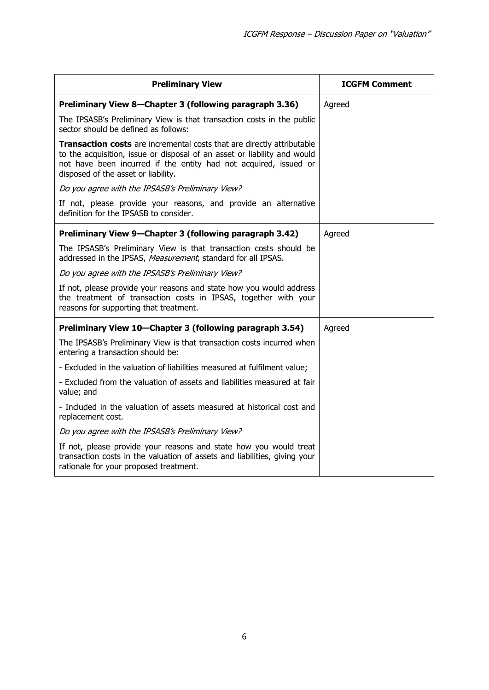| <b>Preliminary View</b>                                                                                                                                                                                                                                              | <b>ICGFM Comment</b> |
|----------------------------------------------------------------------------------------------------------------------------------------------------------------------------------------------------------------------------------------------------------------------|----------------------|
| Preliminary View 8-Chapter 3 (following paragraph 3.36)                                                                                                                                                                                                              | Agreed               |
| The IPSASB's Preliminary View is that transaction costs in the public<br>sector should be defined as follows:                                                                                                                                                        |                      |
| <b>Transaction costs</b> are incremental costs that are directly attributable<br>to the acquisition, issue or disposal of an asset or liability and would<br>not have been incurred if the entity had not acquired, issued or<br>disposed of the asset or liability. |                      |
| Do you agree with the IPSASB's Preliminary View?                                                                                                                                                                                                                     |                      |
| If not, please provide your reasons, and provide an alternative<br>definition for the IPSASB to consider.                                                                                                                                                            |                      |
| Preliminary View 9-Chapter 3 (following paragraph 3.42)                                                                                                                                                                                                              | Agreed               |
| The IPSASB's Preliminary View is that transaction costs should be<br>addressed in the IPSAS, Measurement, standard for all IPSAS.                                                                                                                                    |                      |
| Do you agree with the IPSASB's Preliminary View?                                                                                                                                                                                                                     |                      |
| If not, please provide your reasons and state how you would address<br>the treatment of transaction costs in IPSAS, together with your<br>reasons for supporting that treatment.                                                                                     |                      |
| Preliminary View 10-Chapter 3 (following paragraph 3.54)                                                                                                                                                                                                             | Agreed               |
| The IPSASB's Preliminary View is that transaction costs incurred when<br>entering a transaction should be:                                                                                                                                                           |                      |
| - Excluded in the valuation of liabilities measured at fulfilment value;                                                                                                                                                                                             |                      |
| - Excluded from the valuation of assets and liabilities measured at fair<br>value; and                                                                                                                                                                               |                      |
| - Included in the valuation of assets measured at historical cost and<br>replacement cost.                                                                                                                                                                           |                      |
| Do you agree with the IPSASB's Preliminary View?                                                                                                                                                                                                                     |                      |
| If not, please provide your reasons and state how you would treat<br>transaction costs in the valuation of assets and liabilities, giving your<br>rationale for your proposed treatment.                                                                             |                      |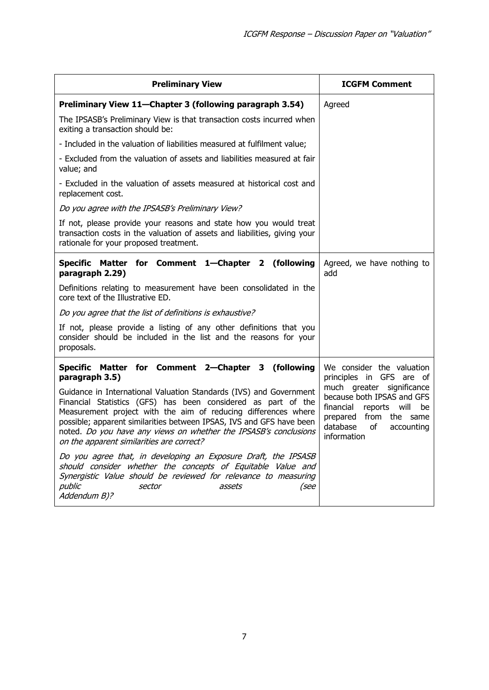| <b>Preliminary View</b>                                                                                                                                                                                                                                                                                                                                                                        | <b>ICGFM Comment</b>                                                                                                                                                      |
|------------------------------------------------------------------------------------------------------------------------------------------------------------------------------------------------------------------------------------------------------------------------------------------------------------------------------------------------------------------------------------------------|---------------------------------------------------------------------------------------------------------------------------------------------------------------------------|
| Preliminary View 11-Chapter 3 (following paragraph 3.54)                                                                                                                                                                                                                                                                                                                                       | Agreed                                                                                                                                                                    |
| The IPSASB's Preliminary View is that transaction costs incurred when<br>exiting a transaction should be:                                                                                                                                                                                                                                                                                      |                                                                                                                                                                           |
| - Included in the valuation of liabilities measured at fulfilment value;                                                                                                                                                                                                                                                                                                                       |                                                                                                                                                                           |
| - Excluded from the valuation of assets and liabilities measured at fair<br>value; and                                                                                                                                                                                                                                                                                                         |                                                                                                                                                                           |
| - Excluded in the valuation of assets measured at historical cost and<br>replacement cost.                                                                                                                                                                                                                                                                                                     |                                                                                                                                                                           |
| Do you agree with the IPSASB's Preliminary View?                                                                                                                                                                                                                                                                                                                                               |                                                                                                                                                                           |
| If not, please provide your reasons and state how you would treat<br>transaction costs in the valuation of assets and liabilities, giving your<br>rationale for your proposed treatment.                                                                                                                                                                                                       |                                                                                                                                                                           |
| Specific Matter for Comment 1-Chapter 2 (following<br>paragraph 2.29)                                                                                                                                                                                                                                                                                                                          | Agreed, we have nothing to<br>add                                                                                                                                         |
| Definitions relating to measurement have been consolidated in the<br>core text of the Illustrative ED.                                                                                                                                                                                                                                                                                         |                                                                                                                                                                           |
| Do you agree that the list of definitions is exhaustive?                                                                                                                                                                                                                                                                                                                                       |                                                                                                                                                                           |
| If not, please provide a listing of any other definitions that you<br>consider should be included in the list and the reasons for your<br>proposals.                                                                                                                                                                                                                                           |                                                                                                                                                                           |
| Specific Matter for Comment 2-Chapter 3 (following<br>paragraph 3.5)                                                                                                                                                                                                                                                                                                                           | We consider the valuation<br>principles in GFS are of                                                                                                                     |
| Guidance in International Valuation Standards (IVS) and Government<br>Financial Statistics (GFS) has been considered as part of the<br>Measurement project with the aim of reducing differences where<br>possible; apparent similarities between IPSAS, IVS and GFS have been<br>noted. Do you have any views on whether the IPSASB's conclusions<br>on the apparent similarities are correct? | much greater significance<br>because both IPSAS and GFS<br>financial<br>reports<br>will<br>be<br>prepared<br>from the same<br>database<br>of<br>accounting<br>information |
| Do you agree that, in developing an Exposure Draft, the IPSASB<br>should consider whether the concepts of Equitable Value and<br>Synergistic Value should be reviewed for relevance to measuring<br>public<br>sector<br>assets<br>(see<br>Addendum B)?                                                                                                                                         |                                                                                                                                                                           |